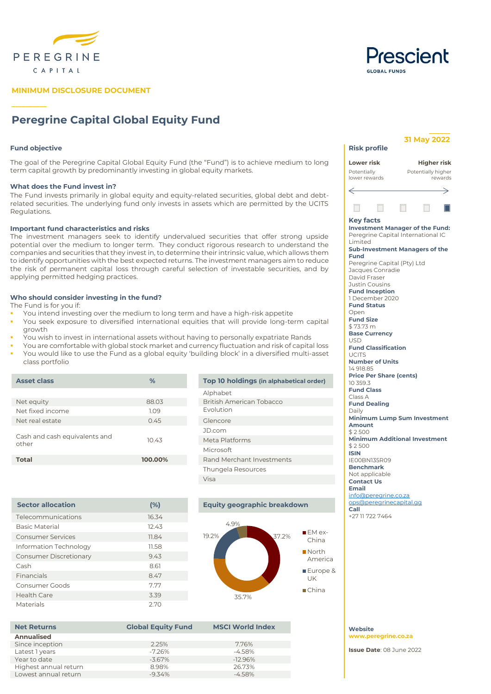



**\_\_\_\_\_\_**

# **MINIMUM DISCLOSURE DOCUMENT**

# **Peregrine Capital Global Equity Fund**

## **Fund objective**

**\_\_\_\_\_\_\_\_\_\_**

The goal of the Peregrine Capital Global Equity Fund (the "Fund") is to achieve medium to long term capital growth by predominantly investing in global equity markets.

### **What does the Fund invest in?**

The Fund invests primarily in global equity and equity-related securities, global debt and debtrelated securities. The underlying fund only invests in assets which are permitted by the UCITS Regulations.

## **Important fund characteristics and risks**

The investment managers seek to identify undervalued securities that offer strong upside potential over the medium to longer term. They conduct rigorous research to understand the companies and securities that they invest in, to determine their intrinsic value, which allows them to identify opportunities with the best expected returns. The investment managers aim to reduce the risk of permanent capital loss through careful selection of investable securities, and by applying permitted hedging practices.

## **Who should consider investing in the fund?**

The Fund is for you if:

- You intend investing over the medium to long term and have a high-risk appetite
- You seek exposure to diversified international equities that will provide long-term capital growth
- You wish to invest in international assets without having to personally expatriate Rands
- You are comfortable with global stock market and currency fluctuation and risk of capital loss
- You would like to use the Fund as a global equity 'building block' in a diversified multi-asset class portfolio

| <b>Asset class</b>                     | %       | Top 10 holdings (in alphabetical order) |  |  |  |  |
|----------------------------------------|---------|-----------------------------------------|--|--|--|--|
|                                        |         | Alphabet                                |  |  |  |  |
| Net equity                             | 88.03   | British American Tobacco                |  |  |  |  |
| Net fixed income                       | 1.09    | Evolution                               |  |  |  |  |
| Net real estate                        | 0.45    | Glencore                                |  |  |  |  |
|                                        |         | JD.com                                  |  |  |  |  |
| Cash and cash equivalents and<br>other | 10.43   | Meta Platforms                          |  |  |  |  |
|                                        |         | <b>Microsoft</b>                        |  |  |  |  |
| <b>Total</b>                           | 100.00% | Rand Merchant Investments               |  |  |  |  |
|                                        |         | Thungela Resources                      |  |  |  |  |
|                                        |         | Visa                                    |  |  |  |  |

| <b>Sector allocation</b>      | (%)   |
|-------------------------------|-------|
| Telecommunications            | 16.34 |
| <b>Basic Material</b>         | 12.43 |
| <b>Consumer Services</b>      | 11.84 |
| Information Technology        | 11.58 |
| <b>Consumer Discretionary</b> | 9.43  |
| Cash                          | 8.61  |
| Financials                    | 8.47  |
| Consumer Goods                | 7.77  |
| <b>Health Care</b>            | 3.39  |
| Materials                     | 2.70  |

# **Equity geographic breakdown**



**MSCI World Index** 

| <b>Net Returns</b>    | <b>Global Equity Fund</b> | <b>MSCI World</b> |  |  |
|-----------------------|---------------------------|-------------------|--|--|
| Annualised            |                           |                   |  |  |
| Since inception       | 2.25%                     | 7.76%             |  |  |
| Latest 1 years        | $-7.26%$                  | $-4.58%$          |  |  |
| Year to date          | $-3.67\%$                 | $-12.96%$         |  |  |
| Highest annual return | 8.98%                     | 26.73%            |  |  |
| Lowest annual return  | $-9.34%$                  | $-4.58\%$         |  |  |

|                                                                                                                                               | 31 May 2022 |                    |         |  |  |  |  |  |  |
|-----------------------------------------------------------------------------------------------------------------------------------------------|-------------|--------------------|---------|--|--|--|--|--|--|
| <b>Risk profile</b>                                                                                                                           |             |                    |         |  |  |  |  |  |  |
| Lower risk                                                                                                                                    |             | Higher risk        |         |  |  |  |  |  |  |
| Potentially                                                                                                                                   |             | Potentially higher |         |  |  |  |  |  |  |
| lower rewards                                                                                                                                 |             |                    | rewards |  |  |  |  |  |  |
|                                                                                                                                               |             |                    |         |  |  |  |  |  |  |
|                                                                                                                                               | H           |                    |         |  |  |  |  |  |  |
| Key facts<br><b>Investment Manager of the Fund:</b><br>Peregrine Capital International IC<br>Limited<br><b>Sub-Investment Managers of the</b> |             |                    |         |  |  |  |  |  |  |
| Fund<br>Peregrine Capital (Pty) Ltd                                                                                                           |             |                    |         |  |  |  |  |  |  |
| Jacques Conradie                                                                                                                              |             |                    |         |  |  |  |  |  |  |
| David Fraser                                                                                                                                  |             |                    |         |  |  |  |  |  |  |
| Justin Cousins                                                                                                                                |             |                    |         |  |  |  |  |  |  |
| <b>Fund Inception</b>                                                                                                                         |             |                    |         |  |  |  |  |  |  |
| 1 December 2020                                                                                                                               |             |                    |         |  |  |  |  |  |  |
| <b>Fund Status</b>                                                                                                                            |             |                    |         |  |  |  |  |  |  |
| Open<br><b>Fund Size</b>                                                                                                                      |             |                    |         |  |  |  |  |  |  |
| \$73.73 m                                                                                                                                     |             |                    |         |  |  |  |  |  |  |
| <b>Base Currency</b>                                                                                                                          |             |                    |         |  |  |  |  |  |  |
| USD                                                                                                                                           |             |                    |         |  |  |  |  |  |  |
| <b>Fund Classification</b>                                                                                                                    |             |                    |         |  |  |  |  |  |  |
| <b>UCITS</b><br><b>Number of Units</b>                                                                                                        |             |                    |         |  |  |  |  |  |  |
| 14918.85                                                                                                                                      |             |                    |         |  |  |  |  |  |  |
| <b>Price Per Share (cents)</b>                                                                                                                |             |                    |         |  |  |  |  |  |  |
| 10 359.3                                                                                                                                      |             |                    |         |  |  |  |  |  |  |
| <b>Fund Class</b>                                                                                                                             |             |                    |         |  |  |  |  |  |  |
| Class A                                                                                                                                       |             |                    |         |  |  |  |  |  |  |
| <b>Fund Dealing</b>                                                                                                                           |             |                    |         |  |  |  |  |  |  |
| Daily                                                                                                                                         |             |                    |         |  |  |  |  |  |  |
| Minimum Lump Sum Investment<br>Amount                                                                                                         |             |                    |         |  |  |  |  |  |  |
| \$2500                                                                                                                                        |             |                    |         |  |  |  |  |  |  |
| <b>Minimum Additional Investment</b>                                                                                                          |             |                    |         |  |  |  |  |  |  |
| \$2500                                                                                                                                        |             |                    |         |  |  |  |  |  |  |
| <b>ISIN</b>                                                                                                                                   |             |                    |         |  |  |  |  |  |  |
| <b>IE00BN135R09</b>                                                                                                                           |             |                    |         |  |  |  |  |  |  |
| <b>Benchmark</b>                                                                                                                              |             |                    |         |  |  |  |  |  |  |
| Not applicable                                                                                                                                |             |                    |         |  |  |  |  |  |  |
| <b>Contact Us</b><br>Email                                                                                                                    |             |                    |         |  |  |  |  |  |  |
| info@peregrine.co.za                                                                                                                          |             |                    |         |  |  |  |  |  |  |

**Call** 

# **Website [www.peregrine.co.za](http://www.peregrinecapital.co.za/)**

**Issue Date**: 08 June 2022

[ops@peregrinecapital.gg](mailto:ops@peregrinecapital.gg)

+27 11 722 7464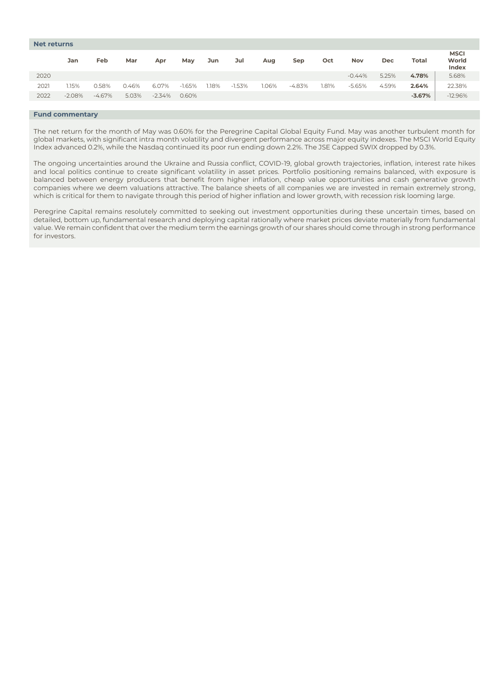| <b>Net returns</b> |          |           |       |          |          |      |          |       |          |       |          |            |              |                               |
|--------------------|----------|-----------|-------|----------|----------|------|----------|-------|----------|-------|----------|------------|--------------|-------------------------------|
|                    | Jan      | Feb       | Mar   | Apr      | May      | Jun  | Jul      | Aug   | Sep      | Oct   | Nov      | <b>Dec</b> | <b>Total</b> | <b>MSCI</b><br>World<br>Index |
| 2020               |          |           |       |          |          |      |          |       |          |       | $-0.44%$ | 5.25%      | 4.78%        | 5.68%                         |
| 2021               | 1.15%    | 0.58%     | 0.46% | 6.07%    | $-1.65%$ | .18% | $-1.53%$ | 1.06% | $-4.83%$ | 1.81% | $-5.65%$ | 4.59%      | 2.64%        | 22.38%                        |
| 2022               | $-2.08%$ | $-4.67\%$ | 5.03% | $-2.34%$ | 0.60%    |      |          |       |          |       |          |            | $-3.67%$     | $-12.96%$                     |
|                    |          |           |       |          |          |      |          |       |          |       |          |            |              |                               |

# **Fund commentary**

The net return for the month of May was 0.60% for the Peregrine Capital Global Equity Fund. May was another turbulent month for global markets, with significant intra month volatility and divergent performance across major equity indexes. The MSCI World Equity Index advanced 0.2%, while the Nasdaq continued its poor run ending down 2.2%. The JSE Capped SWIX dropped by 0.3%.

The ongoing uncertainties around the Ukraine and Russia conflict, COVID-19, global growth trajectories, inflation, interest rate hikes and local politics continue to create significant volatility in asset prices. Portfolio positioning remains balanced, with exposure is balanced between energy producers that benefit from higher inflation, cheap value opportunities and cash generative growth companies where we deem valuations attractive. The balance sheets of all companies we are invested in remain extremely strong, which is critical for them to navigate through this period of higher inflation and lower growth, with recession risk looming large.

Peregrine Capital remains resolutely committed to seeking out investment opportunities during these uncertain times, based on detailed, bottom up, fundamental research and deploying capital rationally where market prices deviate materially from fundamental value. We remain confident that over the medium term the earnings growth of our shares should come through in strong performance for investors.